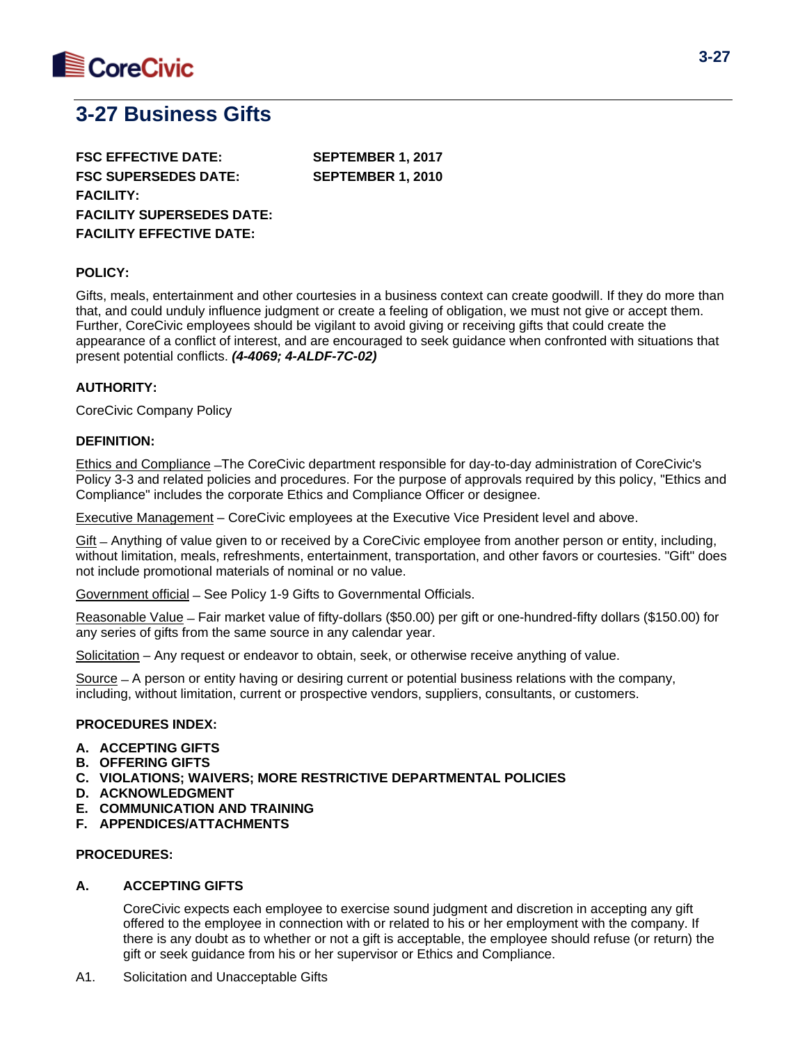

# **3-27 Business Gifts**

**FSC EFFECTIVE DATE: SEPTEMBER 1, 2017 FSC SUPERSEDES DATE: SEPTEMBER 1, 2010 FACILITY: FACILITY SUPERSEDES DATE: FACILITY EFFECTIVE DATE:**

### **POLICY:**

Gifts, meals, entertainment and other courtesies in a business context can create goodwill. If they do more than that, and could unduly influence judgment or create a feeling of obligation, we must not give or accept them. Further, CoreCivic employees should be vigilant to avoid giving or receiving gifts that could create the appearance of a conflict of interest, and are encouraged to seek guidance when confronted with situations that present potential conflicts. *(4-4069; 4-ALDF-7C-02)*

## **AUTHORITY:**

CoreCivic Company Policy

### **DEFINITION:**

Ethics and Compliance ̶The CoreCivic department responsible for day-to-day administration of CoreCivic's Policy 3-3 and related policies and procedures. For the purpose of approvals required by this policy, "Ethics and Compliance" includes the corporate Ethics and Compliance Officer or designee.

Executive Management – CoreCivic employees at the Executive Vice President level and above.

Gift ̶ Anything of value given to or received by a CoreCivic employee from another person or entity, including, without limitation, meals, refreshments, entertainment, transportation, and other favors or courtesies. "Gift" does not include promotional materials of nominal or no value.

Government official ̶ See Policy 1-9 Gifts to Governmental Officials.

Reasonable Value ̶ Fair market value of fifty-dollars (\$50.00) per gift or one-hundred-fifty dollars (\$150.00) for any series of gifts from the same source in any calendar year.

Solicitation – Any request or endeavor to obtain, seek, or otherwise receive anything of value.

Source ̶ A person or entity having or desiring current or potential business relations with the company, including, without limitation, current or prospective vendors, suppliers, consultants, or customers.

## **PROCEDURES INDEX:**

- **A. ACCEPTING GIFTS**
- **B. OFFERING GIFTS**
- **C. VIOLATIONS; WAIVERS; MORE RESTRICTIVE DEPARTMENTAL POLICIES**
- **D. ACKNOWLEDGMENT**
- **E. COMMUNICATION AND TRAINING**
- **F. APPENDICES/ATTACHMENTS**

#### **PROCEDURES:**

### **A. ACCEPTING GIFTS**

CoreCivic expects each employee to exercise sound judgment and discretion in accepting any gift offered to the employee in connection with or related to his or her employment with the company. If there is any doubt as to whether or not a gift is acceptable, the employee should refuse (or return) the gift or seek guidance from his or her supervisor or Ethics and Compliance.

A1. Solicitation and Unacceptable Gifts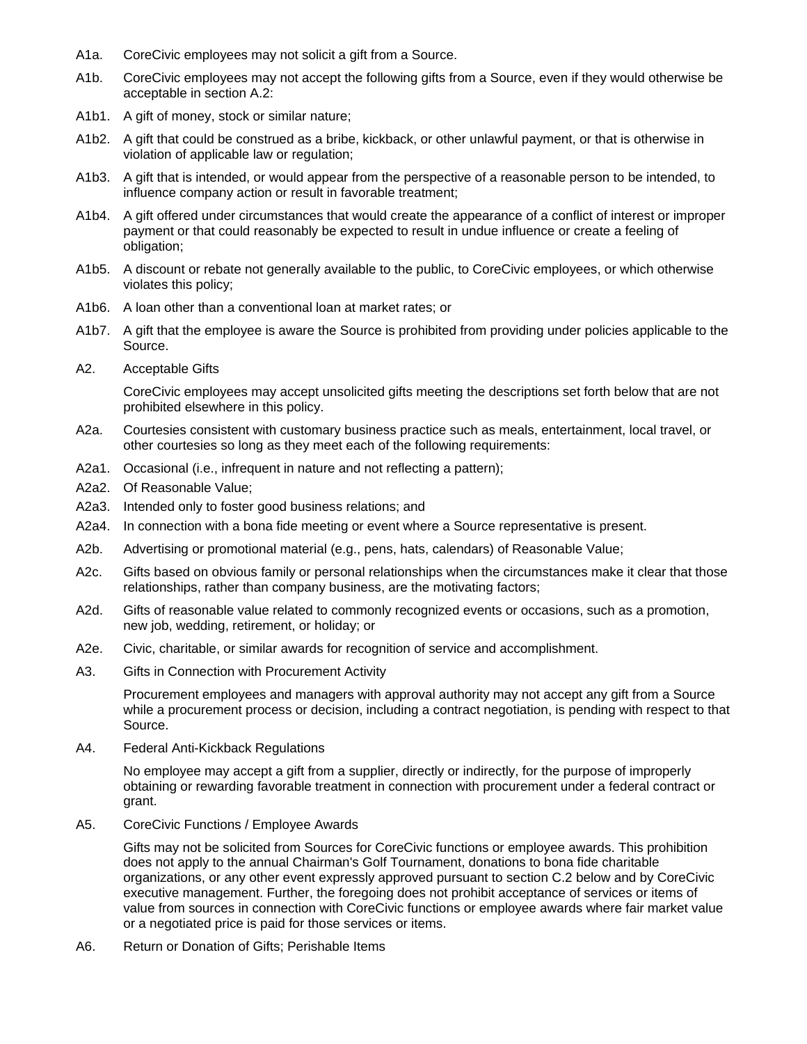- A1a. CoreCivic employees may not solicit a gift from a Source.
- A1b. CoreCivic employees may not accept the following gifts from a Source, even if they would otherwise be acceptable in section A.2:
- A1b1. A gift of money, stock or similar nature;
- A1b2. A gift that could be construed as a bribe, kickback, or other unlawful payment, or that is otherwise in violation of applicable law or regulation;
- A1b3. A gift that is intended, or would appear from the perspective of a reasonable person to be intended, to influence company action or result in favorable treatment;
- A1b4. A gift offered under circumstances that would create the appearance of a conflict of interest or improper payment or that could reasonably be expected to result in undue influence or create a feeling of obligation;
- A1b5. A discount or rebate not generally available to the public, to CoreCivic employees, or which otherwise violates this policy;
- A1b6. A loan other than a conventional loan at market rates; or
- A1b7. A gift that the employee is aware the Source is prohibited from providing under policies applicable to the Source.
- A2. Acceptable Gifts

CoreCivic employees may accept unsolicited gifts meeting the descriptions set forth below that are not prohibited elsewhere in this policy.

- A2a. Courtesies consistent with customary business practice such as meals, entertainment, local travel, or other courtesies so long as they meet each of the following requirements:
- A2a1. Occasional (i.e., infrequent in nature and not reflecting a pattern);
- A2a2. Of Reasonable Value;
- A2a3. Intended only to foster good business relations; and
- A2a4. In connection with a bona fide meeting or event where a Source representative is present.
- A2b. Advertising or promotional material (e.g., pens, hats, calendars) of Reasonable Value;
- A2c. Gifts based on obvious family or personal relationships when the circumstances make it clear that those relationships, rather than company business, are the motivating factors;
- A2d. Gifts of reasonable value related to commonly recognized events or occasions, such as a promotion, new job, wedding, retirement, or holiday; or
- A2e. Civic, charitable, or similar awards for recognition of service and accomplishment.
- A3. Gifts in Connection with Procurement Activity

Procurement employees and managers with approval authority may not accept any gift from a Source while a procurement process or decision, including a contract negotiation, is pending with respect to that Source.

A4. Federal Anti-Kickback Regulations

No employee may accept a gift from a supplier, directly or indirectly, for the purpose of improperly obtaining or rewarding favorable treatment in connection with procurement under a federal contract or grant.

A5. CoreCivic Functions / Employee Awards

Gifts may not be solicited from Sources for CoreCivic functions or employee awards. This prohibition does not apply to the annual Chairman's Golf Tournament, donations to bona fide charitable organizations, or any other event expressly approved pursuant to section C.2 below and by CoreCivic executive management. Further, the foregoing does not prohibit acceptance of services or items of value from sources in connection with CoreCivic functions or employee awards where fair market value or a negotiated price is paid for those services or items.

A6. Return or Donation of Gifts; Perishable Items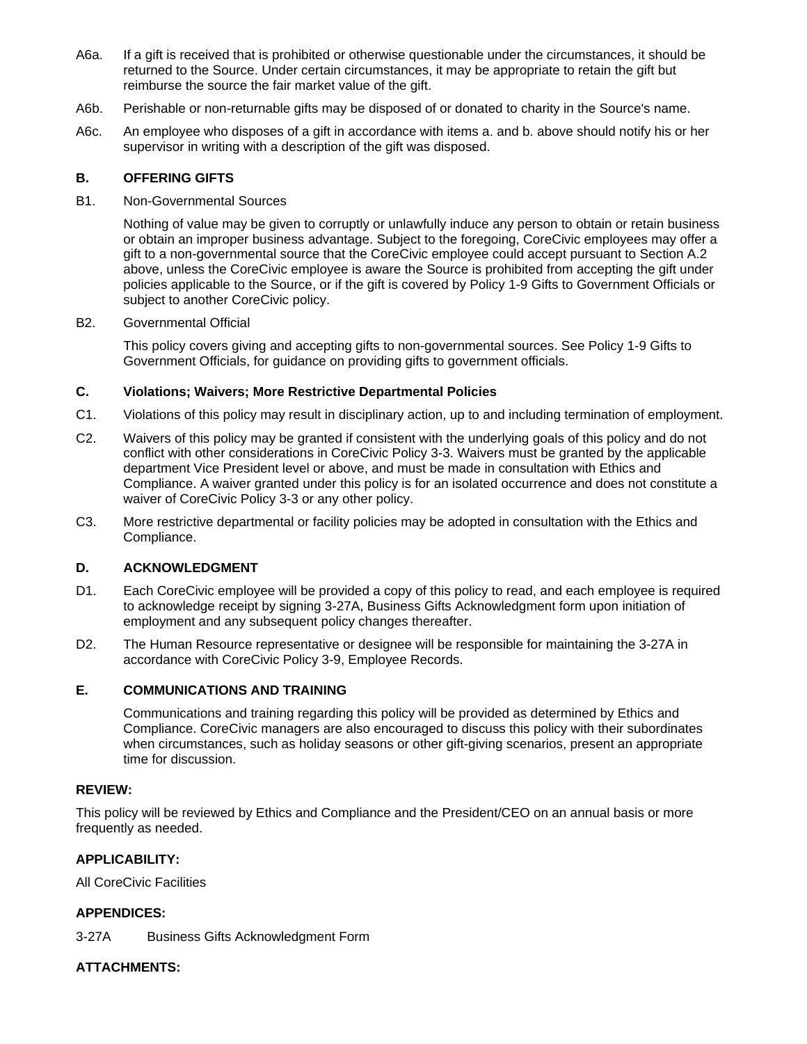- A6a. If a gift is received that is prohibited or otherwise questionable under the circumstances, it should be returned to the Source. Under certain circumstances, it may be appropriate to retain the gift but reimburse the source the fair market value of the gift.
- A6b. Perishable or non-returnable gifts may be disposed of or donated to charity in the Source's name.
- A6c. An employee who disposes of a gift in accordance with items a. and b. above should notify his or her supervisor in writing with a description of the gift was disposed.

## **B. OFFERING GIFTS**

### B1. Non-Governmental Sources

Nothing of value may be given to corruptly or unlawfully induce any person to obtain or retain business or obtain an improper business advantage. Subject to the foregoing, CoreCivic employees may offer a gift to a non-governmental source that the CoreCivic employee could accept pursuant to Section A.2 above, unless the CoreCivic employee is aware the Source is prohibited from accepting the gift under policies applicable to the Source, or if the gift is covered by Policy 1-9 Gifts to Government Officials or subject to another CoreCivic policy.

## B2. Governmental Official

This policy covers giving and accepting gifts to non-governmental sources. See Policy 1-9 Gifts to Government Officials, for guidance on providing gifts to government officials.

## **C. Violations; Waivers; More Restrictive Departmental Policies**

- C1. Violations of this policy may result in disciplinary action, up to and including termination of employment.
- C2. Waivers of this policy may be granted if consistent with the underlying goals of this policy and do not conflict with other considerations in CoreCivic Policy 3-3. Waivers must be granted by the applicable department Vice President level or above, and must be made in consultation with Ethics and Compliance. A waiver granted under this policy is for an isolated occurrence and does not constitute a waiver of CoreCivic Policy 3-3 or any other policy.
- C3. More restrictive departmental or facility policies may be adopted in consultation with the Ethics and Compliance.

# **D. ACKNOWLEDGMENT**

- D1. Each CoreCivic employee will be provided a copy of this policy to read, and each employee is required to acknowledge receipt by signing 3-27A, Business Gifts Acknowledgment form upon initiation of employment and any subsequent policy changes thereafter.
- D2. The Human Resource representative or designee will be responsible for maintaining the 3-27A in accordance with CoreCivic Policy 3-9, Employee Records.

# **E. COMMUNICATIONS AND TRAINING**

Communications and training regarding this policy will be provided as determined by Ethics and Compliance. CoreCivic managers are also encouraged to discuss this policy with their subordinates when circumstances, such as holiday seasons or other gift-giving scenarios, present an appropriate time for discussion.

### **REVIEW:**

This policy will be reviewed by Ethics and Compliance and the President/CEO on an annual basis or more frequently as needed.

# **APPLICABILITY:**

All CoreCivic Facilities

# **APPENDICES:**

3-27A Business Gifts Acknowledgment Form

# **ATTACHMENTS:**